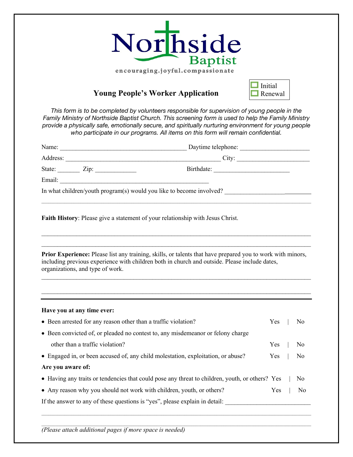

## **Young People's Worker Application**



*This form is to be completed by volunteers responsible for supervision of young people in the Family Ministry of Northside Baptist Church. This screening form is used to help the Family Ministry provide a physically safe, emotionally secure, and spiritually nurturing environment for young people who participate in our programs. All items on this form will remain confidential.*

|                                  | Name: Daytime telephone:                                                                                                                                                                                           |
|----------------------------------|--------------------------------------------------------------------------------------------------------------------------------------------------------------------------------------------------------------------|
|                                  |                                                                                                                                                                                                                    |
| State: $\angle$ Zip: $\angle$    |                                                                                                                                                                                                                    |
|                                  |                                                                                                                                                                                                                    |
|                                  | In what children/youth program(s) would you like to become involved?                                                                                                                                               |
|                                  | Faith History: Please give a statement of your relationship with Jesus Christ.                                                                                                                                     |
|                                  |                                                                                                                                                                                                                    |
| organizations, and type of work. | <b>Prior Experience:</b> Please list any training, skills, or talents that have prepared you to work with minors,<br>including previous experience with children both in church and outside. Please include dates, |

 $\mathcal{L}_\text{max}$  and  $\mathcal{L}_\text{max}$  and  $\mathcal{L}_\text{max}$  and  $\mathcal{L}_\text{max}$  and  $\mathcal{L}_\text{max}$  and  $\mathcal{L}_\text{max}$ 

 $\mathcal{L}_\text{max}$  and  $\mathcal{L}_\text{max}$  and  $\mathcal{L}_\text{max}$  and  $\mathcal{L}_\text{max}$  and  $\mathcal{L}_\text{max}$  and  $\mathcal{L}_\text{max}$ 

## **Have you at any time ever:**

| • Been arrested for any reason other than a traffic violation?                                  | Yes        |  | No             |  |
|-------------------------------------------------------------------------------------------------|------------|--|----------------|--|
| • Been convicted of, or pleaded no contest to, any misdemean or or felony charge                |            |  |                |  |
| other than a traffic violation?                                                                 | Yes        |  | N <sub>o</sub> |  |
| • Engaged in, or been accused of, any child molestation, exploitation, or abuse?                |            |  | No             |  |
| Are you aware of:                                                                               |            |  |                |  |
| • Having any traits or tendencies that could pose any threat to children, youth, or others? Yes |            |  | N <sub>0</sub> |  |
| • Any reason why you should not work with children, youth, or others?                           | <b>Yes</b> |  | N <sub>0</sub> |  |
| If the answer to any of these questions is "yes", please explain in detail:                     |            |  |                |  |
|                                                                                                 |            |  |                |  |

 $\mathcal{L}_\mathcal{L} = \mathcal{L}_\mathcal{L} = \mathcal{L}_\mathcal{L} = \mathcal{L}_\mathcal{L} = \mathcal{L}_\mathcal{L} = \mathcal{L}_\mathcal{L} = \mathcal{L}_\mathcal{L} = \mathcal{L}_\mathcal{L} = \mathcal{L}_\mathcal{L} = \mathcal{L}_\mathcal{L} = \mathcal{L}_\mathcal{L} = \mathcal{L}_\mathcal{L} = \mathcal{L}_\mathcal{L} = \mathcal{L}_\mathcal{L} = \mathcal{L}_\mathcal{L} = \mathcal{L}_\mathcal{L} = \mathcal{L}_\mathcal{L}$ 

*(Please attach additional pages if more space is needed)*